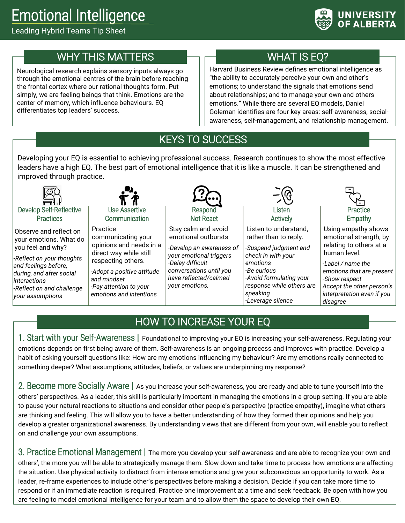# Emotional Intelligence

#### Leading Hybrid Teams Tip Sheet



### WHY THIS MATTERS

Neurological research explains sensory inputs always go through the emotional centres of the brain before reaching the frontal cortex where our rational thoughts form. Put simply, we are feeling beings that think. Emotions are the center of memory, which influence behaviours. EQ differentiates top leaders' success.

# WHAT IS EQ?

Harvard Business Review defines emotional intelligence as "the ability to accurately perceive your own and other's emotions; to understand the signals that emotions send about relationships; and to manage your own and others emotions." While there are several EQ models, Daniel Goleman identifies are four key areas: self-awareness, socialawareness, self-management, and relationship management.

# KEYS TO SUCCESS

Developing your EQ is essential to achieving professional success. Research continues to show the most effective leaders have a high EQ. The best part of emotional intelligence that it is like a muscle. It can be strengthened and improved through practice.



#### Develop Self-Reflective **Practices**

Observe and reflect on your emotions. What do you feel and why?

*-Reflect on your thoughts and feelings before, during, and after social interactions -Reflect on and challenge your assumptions*



**Communication** Practice

communicating your opinions and needs in a direct way while still respecting others.

*-Adopt a positive attitude and mindset -Pay attention to your emotions and intentions*



Stay calm and avoid emotional outbursts

*-Develop an awareness of your emotional triggers -Delay difficult conversations until you have reflected/calmed your emotions.*



Listen to understand, rather than to reply.

*-Suspend judgment and check in with your emotions -Be curious -Avoid formulating your response while others are speaking -Leverage silence*



Using empathy shows emotional strength, by relating to others at a human level.

*-Label / name the emotions that are present -Show respect Accept the other person's interpretation even if you disagree*

# HOW TO INCREASE YOUR EQ

1. Start with your Self-Awareness **|** Foundational to improving your EQ is increasing your self-awareness. Regulating your emotions depends on first being aware of them. Self-awareness is an ongoing process and improves with practice. Develop a habit of asking yourself questions like: How are my emotions influencing my behaviour? Are my emotions really connected to something deeper? What assumptions, attitudes, beliefs, or values are underpinning my response?

2. Become more Socially Aware **|** As you increase your self-awareness, you are ready and able to tune yourself into the others' perspectives. As a leader, this skill is particularly important in managing the emotions in a group setting. If you are able to pause your natural reactions to situations and consider other people's perspective (practice empathy), imagine what others are thinking and feeling. This will allow you to have a better understanding of how they formed their opinions and help you develop a greater organizational awareness. By understanding views that are different from your own, will enable you to reflect on and challenge your own assumptions.

3. Practice Emotional Management **|** The more you develop your self-awareness and are able to recognize your own and others', the more you will be able to strategically manage them. Slow down and take time to process how emotions are affecting the situation. Use physical activity to distract from intense emotions and give your subconscious an opportunity to work. As a leader, re-frame experiences to include other's perspectives before making a decision. Decide if you can take more time to respond or if an immediate reaction is required. Practice one improvement at a time and seek feedback. Be open with how you are feeling to model emotional intelligence for your team and to allow them the space to develop their own EQ.